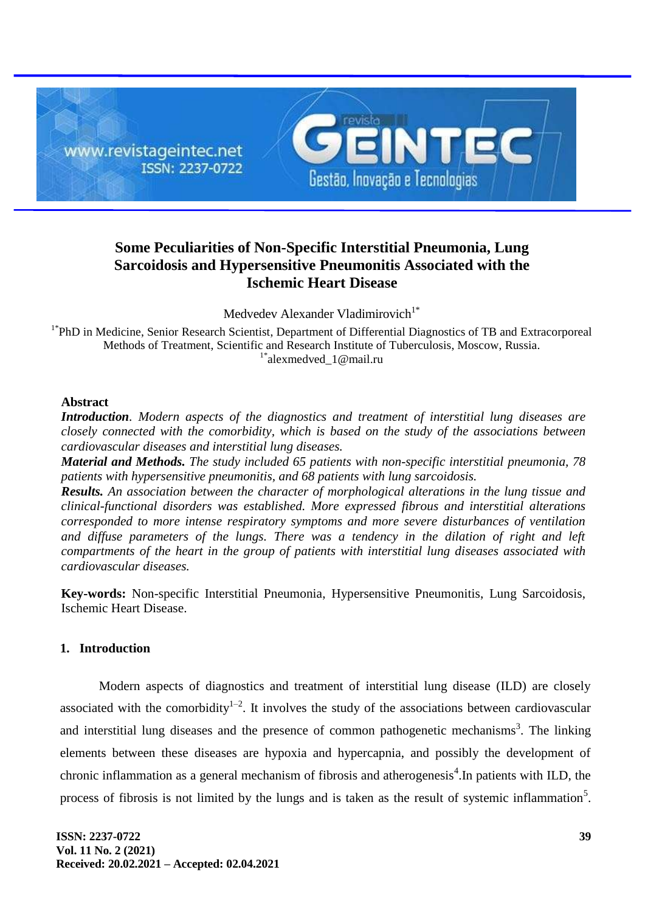

# **Some Peculiarities of Non-Specific Interstitial Pneumonia, Lung Sarcoidosis and Hypersensitive Pneumonitis Associated with the Ischemic Heart Disease**

Medvedev Alexander Vladimirovich<sup>1\*</sup>

<sup>1\*</sup>PhD in Medicine, Senior Research Scientist, Department of Differential Diagnostics of TB and Extracorporeal Methods of Treatment, Scientific and Research Institute of Tuberculosis, Moscow, Russia.  $1^*$ alexmedved  $1@$ mail.ru

## **Abstract**

*Introduction. Modern aspects of the diagnostics and treatment of interstitial lung diseases are closely connected with the comorbidity, which is based on the study of the associations between cardiovascular diseases and interstitial lung diseases.*

*Material and Methods. The study included 65 patients with non-specific interstitial pneumonia, 78 patients with hypersensitive pneumonitis, and 68 patients with lung sarcoidosis.* 

*Results. An association between the character of morphological alterations in the lung tissue and clinical-functional disorders was established. More expressed fibrous and interstitial alterations corresponded to more intense respiratory symptoms and more severe disturbances of ventilation*  and diffuse parameters of the lungs. There was a tendency in the dilation of right and left *compartments of the heart in the group of patients with interstitial lung diseases associated with cardiovascular diseases.* 

**Key-words:** Non-specific Interstitial Pneumonia, Hypersensitive Pneumonitis, Lung Sarcoidosis, Ischemic Heart Disease.

# **1. Introduction**

Modern aspects of diagnostics and treatment of interstitial lung disease (ILD) are closely associated with the comorbidity<sup>1-2</sup>. It involves the study of the associations between cardiovascular and interstitial lung diseases and the presence of common pathogenetic mechanisms<sup>3</sup>. The linking elements between these diseases are hypoxia and hypercapnia, and possibly the development of chronic inflammation as a general mechanism of fibrosis and atherogenesis<sup>4</sup>. In patients with ILD, the process of fibrosis is not limited by the lungs and is taken as the result of systemic inflammation<sup>5</sup>.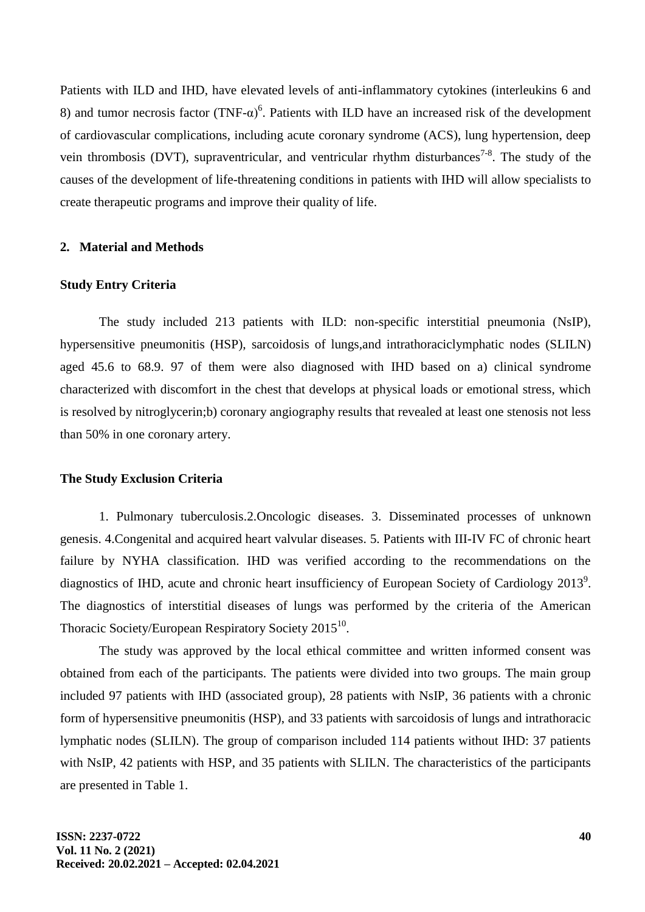Patients with ILD and IHD, have elevated levels of anti-inflammatory cytokines (interleukins 6 and 8) and tumor necrosis factor  $(TNF-α)^6$ . Patients with ILD have an increased risk of the development of cardiovascular complications, including acute coronary syndrome (ACS), lung hypertension, deep vein thrombosis (DVT), supraventricular, and ventricular rhythm disturbances<sup>7-8</sup>. The study of the causes of the development of life-threatening conditions in patients with IHD will allow specialists to create therapeutic programs and improve their quality of life.

# **2. Material and Methods**

#### **Study Entry Criteria**

The study included 213 patients with ILD: non-specific interstitial pneumonia (NsIP), hypersensitive pneumonitis (HSP), sarcoidosis of lungs,and intrathoraciclymphatic nodes (SLILN) aged 45.6 to 68.9. 97 of them were also diagnosed with IHD based on a) clinical syndrome characterized with discomfort in the chest that develops at physical loads or emotional stress, which is resolved by nitroglycerin;b) coronary angiography results that revealed at least one stenosis not less than 50% in one coronary artery.

#### **The Study Exclusion Criteria**

1. Pulmonary tuberculosis.2.Oncologic diseases. 3. Disseminated processes of unknown genesis. 4.Congenital and acquired heart valvular diseases. 5. Patients with III-IV FC of chronic heart failure by NYHA classification. IHD was verified according to the recommendations on the diagnostics of IHD, acute and chronic heart insufficiency of European Society of Cardiology 2013<sup>9</sup>. The diagnostics of interstitial diseases of lungs was performed by the criteria of the American Thoracic Society/European Respiratory Society 2015<sup>10</sup>.

The study was approved by the local ethical committee and written informed consent was obtained from each of the participants. The patients were divided into two groups. The main group included 97 patients with IHD (associated group), 28 patients with NsIP, 36 patients with a chronic form of hypersensitive pneumonitis (HSP), and 33 patients with sarcoidosis of lungs and intrathoracic lymphatic nodes (SLILN). The group of comparison included 114 patients without IHD: 37 patients with NsIP, 42 patients with HSP, and 35 patients with SLILN. The characteristics of the participants are presented in Table 1.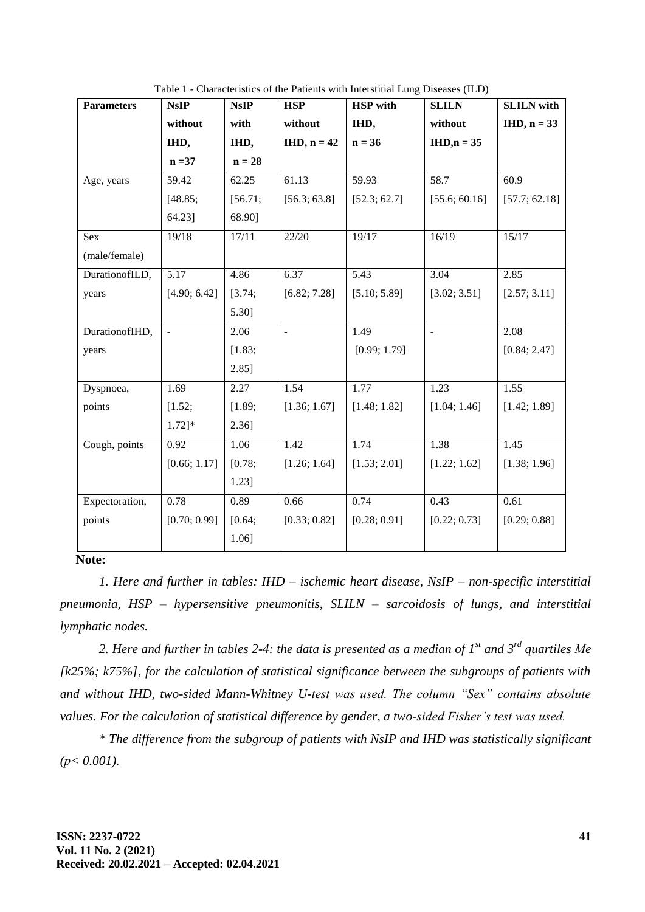| <b>Parameters</b> | <b>NsIP</b>    | <b>NsIP</b> | <b>HSP</b>     | <b>HSP</b> with | <b>SLILN</b>        | <b>SLILN</b> with |
|-------------------|----------------|-------------|----------------|-----------------|---------------------|-------------------|
|                   | without        | with        | without        | IHD,            | without             | $IHD, n = 33$     |
|                   | IHD,           | IHD,        | $IHD, n = 42$  | $n = 36$        | $IHD, n = 35$       |                   |
|                   | $n = 37$       | $n = 28$    |                |                 |                     |                   |
| Age, years        | 59.42          | 62.25       | 61.13          | 59.93           | 58.7                | 60.9              |
|                   | [48.85;        | [56.71;     | [56.3; 63.8]   | [52.3; 62.7]    | [55.6; 60.16]       | [57.7; 62.18]     |
|                   | 64.23]         | 68.90]      |                |                 |                     |                   |
| Sex               | 19/18          | 17/11       | 22/20          | 19/17           | 16/19               | 15/17             |
| (male/female)     |                |             |                |                 |                     |                   |
| DurationofILD,    | 5.17           | 4.86        | 6.37           | 5.43            | 3.04                | 2.85              |
| years             | [4.90; 6.42]   | [3.74;      | [6.82; 7.28]   | [5.10; 5.89]    | [3.02; 3.51]        | [2.57; 3.11]      |
|                   |                | 5.30]       |                |                 |                     |                   |
| DurationofIHD,    | $\overline{a}$ | 2.06        | $\overline{a}$ | 1.49            | $\bar{\phantom{a}}$ | 2.08              |
| years             |                | [1.83;      |                | [0.99; 1.79]    |                     | [0.84; 2.47]      |
|                   |                | 2.85]       |                |                 |                     |                   |
| Dyspnoea,         | 1.69           | 2.27        | 1.54           | 1.77            | 1.23                | 1.55              |
| points            | [1.52;         | [1.89;      | [1.36; 1.67]   | [1.48; 1.82]    | [1.04; 1.46]        | [1.42; 1.89]      |
|                   | $1.72$ ]*      | $2.36$ ]    |                |                 |                     |                   |
| Cough, points     | 0.92           | 1.06        | 1.42           | 1.74            | 1.38                | 1.45              |
|                   | [0.66; 1.17]   | [0.78;      | [1.26; 1.64]   | [1.53; 2.01]    | [1.22; 1.62]        | [1.38; 1.96]      |
|                   |                | 1.23]       |                |                 |                     |                   |
| Expectoration,    | 0.78           | 0.89        | 0.66           | 0.74            | 0.43                | 0.61              |
| points            | [0.70; 0.99]   | [0.64;      | [0.33; 0.82]   | [0.28; 0.91]    | [0.22; 0.73]        | [0.29; 0.88]      |
|                   |                | 1.06]       |                |                 |                     |                   |

Table 1 - Characteristics of the Patients with Interstitial Lung Diseases (ILD)

 **Note:**

*1. Here and further in tables: IHD – ischemic heart disease, NsIP – non-specific interstitial pneumonia, HSP – hypersensitive pneumonitis, SLILN – sarcoidosis of lungs, and interstitial lymphatic nodes.*

*2. Here and further in tables 2-4: the data is presented as a median of 1st and 3rd quartiles Мe [k25%; k75%], for the calculation of statistical significance between the subgroups of patients with and without IHD, two-sided Mann-Whitney U-test was used. The column "Sex" contains absolute values. For the calculation of statistical difference by gender, a two-sided Fisher's test was used.*

*\* The difference from the subgroup of patients with NsIP and IHD was statistically significant (р< 0.001).*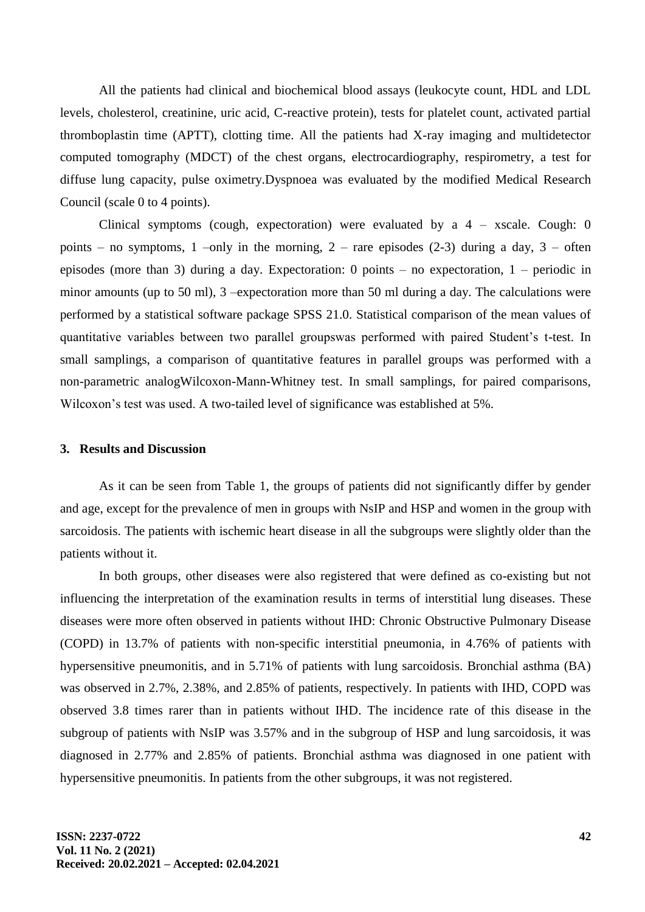All the patients had clinical and biochemical blood assays (leukocyte count, HDL and LDL levels, cholesterol, creatinine, uric acid, C-reactive protein), tests for platelet count, activated partial thromboplastin time (APTT), clotting time. All the patients had X-ray imaging and multidetector computed tomography (MDCT) of the chest organs, electrocardiography, respirometry, a test for diffuse lung capacity, pulse oximetry.Dyspnoea was evaluated by the modified Medical Research Council (scale 0 to 4 points).

Clinical symptoms (cough, expectoration) were evaluated by a  $4 - x scale$ . Cough: 0 points – no symptoms, 1 –only in the morning,  $2$  – rare episodes (2-3) during a day,  $3$  – often episodes (more than 3) during a day. Expectoration: 0 points – no expectoration, 1 – periodic in minor amounts (up to 50 ml), 3 –expectoration more than 50 ml during a day. The calculations were performed by a statistical software package SPSS 21.0. Statistical comparison of the mean values of quantitative variables between two parallel groupswas performed with paired Student's t-test. In small samplings, a comparison of quantitative features in parallel groups was performed with a non-parametric analogWilcoxon-Mann-Whitney test. In small samplings, for paired comparisons, Wilcoxon's test was used. A two-tailed level of significance was established at 5%.

## **3. Results and Discussion**

As it can be seen from Table 1, the groups of patients did not significantly differ by gender and age, except for the prevalence of men in groups with NsIP and HSP and women in the group with sarcoidosis. The patients with ischemic heart disease in all the subgroups were slightly older than the patients without it.

In both groups, other diseases were also registered that were defined as co-existing but not influencing the interpretation of the examination results in terms of interstitial lung diseases. These diseases were more often observed in patients without IHD: Chronic Obstructive Pulmonary Disease (COPD) in 13.7% of patients with non-specific interstitial pneumonia, in 4.76% of patients with hypersensitive pneumonitis, and in 5.71% of patients with lung sarcoidosis. Bronchial asthma (BA) was observed in 2.7%, 2.38%, and 2.85% of patients, respectively. In patients with IHD, COPD was observed 3.8 times rarer than in patients without IHD. The incidence rate of this disease in the subgroup of patients with NsIP was 3.57% and in the subgroup of HSP and lung sarcoidosis, it was diagnosed in 2.77% and 2.85% of patients. Bronchial asthma was diagnosed in one patient with hypersensitive pneumonitis. In patients from the other subgroups, it was not registered.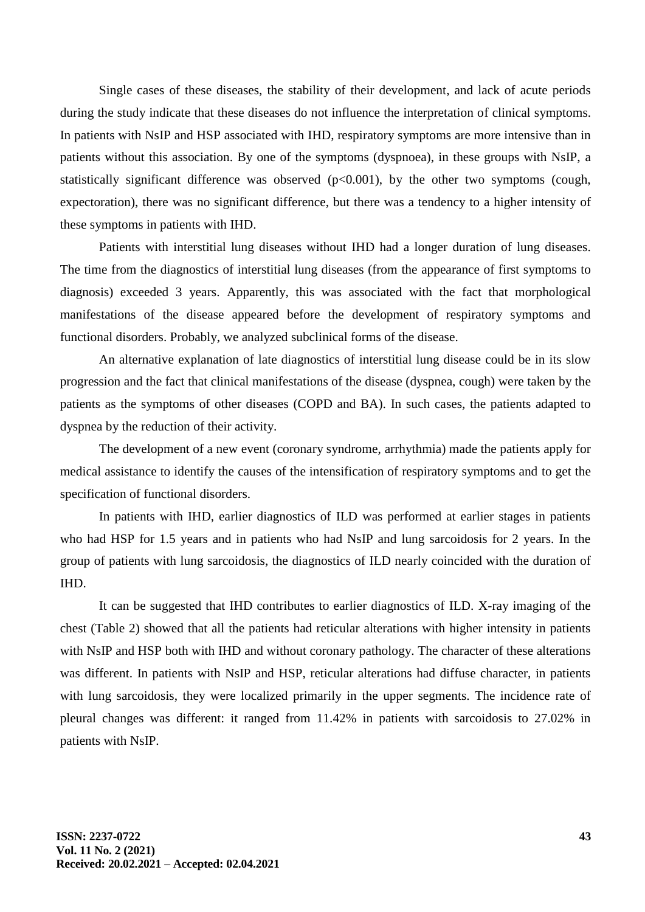Single cases of these diseases, the stability of their development, and lack of acute periods during the study indicate that these diseases do not influence the interpretation of clinical symptoms. In patients with NsIP and HSP associated with IHD, respiratory symptoms are more intensive than in patients without this association. By one of the symptoms (dyspnoea), in these groups with NsIP, a statistically significant difference was observed  $(p<0.001)$ , by the other two symptoms (cough, expectoration), there was no significant difference, but there was a tendency to a higher intensity of these symptoms in patients with IHD.

Patients with interstitial lung diseases without IHD had a longer duration of lung diseases. The time from the diagnostics of interstitial lung diseases (from the appearance of first symptoms to diagnosis) exceeded 3 years. Apparently, this was associated with the fact that morphological manifestations of the disease appeared before the development of respiratory symptoms and functional disorders. Probably, we analyzed subclinical forms of the disease.

An alternative explanation of late diagnostics of interstitial lung disease could be in its slow progression and the fact that clinical manifestations of the disease (dyspnea, cough) were taken by the patients as the symptoms of other diseases (COPD and BA). In such cases, the patients adapted to dyspnea by the reduction of their activity.

The development of a new event (coronary syndrome, arrhythmia) made the patients apply for medical assistance to identify the causes of the intensification of respiratory symptoms and to get the specification of functional disorders.

In patients with IHD, earlier diagnostics of ILD was performed at earlier stages in patients who had HSP for 1.5 years and in patients who had NsIP and lung sarcoidosis for 2 years. In the group of patients with lung sarcoidosis, the diagnostics of ILD nearly coincided with the duration of IHD.

It can be suggested that IHD contributes to earlier diagnostics of ILD. X-ray imaging of the chest (Table 2) showed that all the patients had reticular alterations with higher intensity in patients with NsIP and HSP both with IHD and without coronary pathology. The character of these alterations was different. In patients with NsIP and HSP, reticular alterations had diffuse character, in patients with lung sarcoidosis, they were localized primarily in the upper segments. The incidence rate of pleural changes was different: it ranged from 11.42% in patients with sarcoidosis to 27.02% in patients with NsIP.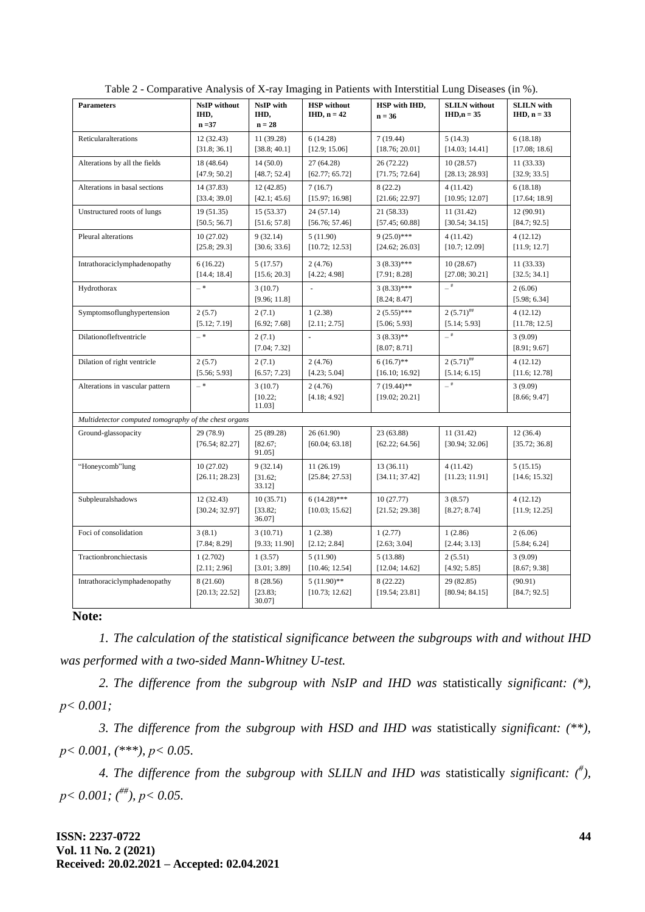| <b>Parameters</b>                                     | <b>NsIP</b> without<br>IHD.  | <b>NsIP</b> with<br>IHD,        | <b>HSP</b> without<br>$IHD, n = 42$ | HSP with IHD,<br>$n = 36$       | <b>SLILN</b> without<br>$IHD, n = 35$ | <b>SLILN</b> with<br>$IHD, n = 33$ |
|-------------------------------------------------------|------------------------------|---------------------------------|-------------------------------------|---------------------------------|---------------------------------------|------------------------------------|
|                                                       | $n = 37$                     | $n = 28$                        |                                     |                                 |                                       |                                    |
| Reticularalterations                                  | 12(32.43)                    | 11 (39.28)                      | 6(14.28)                            | 7(19.44)                        | 5(14.3)                               | 6(18.18)                           |
|                                                       | [31.8; 36.1]                 | [38.8; 40.1]                    | [12.9; 15.06]                       | [18.76; 20.01]                  | [14.03; 14.41]                        | [17.08; 18.6]                      |
| Alterations by all the fields                         | 18 (48.64)<br>[47.9; 50.2]   | 14(50.0)<br>[48.7; 52.4]        | 27 (64.28)<br>[62.77; 65.72]        | 26 (72.22)<br>[71.75; 72.64]    | 10(28.57)<br>[28.13; 28.93]           | 11(33.33)<br>[32.9; 33.5]          |
| Alterations in basal sections                         | 14 (37.83)<br>[33.4; 39.0]   | 12(42.85)<br>[42.1; 45.6]       | 7(16.7)<br>[15.97; 16.98]           | 8(22.2)<br>[21.66; 22.97]       | 4(11.42)<br>[10.95; 12.07]            | 6(18.18)<br>[17.64; 18.9]          |
| Unstructured roots of lungs                           | 19(51.35)<br>[50.5; 56.7]    | 15 (53.37)<br>[51.6; 57.8]      | 24 (57.14)<br>[56.76; 57.46]        | 21 (58.33)<br>[57.45; 60.88]    | 11 (31.42)<br>[30.54; 34.15]          | 12(90.91)<br>[84.7; 92.5]          |
| Pleural alterations                                   | 10(27.02)<br>[25.8; 29.3]    | 9(32.14)<br>[30.6; 33.6]        | 5(11.90)<br>[10.72; 12.53]          | $9(25.0)$ ***<br>[24.62; 26.03] | 4(11.42)<br>[10.7; 12.09]             | 4(12.12)<br>[11.9; 12.7]           |
| Intrathoraciclymphadenopathy                          | 6(16.22)<br>[14.4; 18.4]     | 5(17.57)<br>[15.6; 20.3]        | 2(4.76)<br>[4.22; 4.98]             | $3(8.33)***$<br>[7.91; 8.28]    | 10(28.67)<br>[27.08; 30.21]           | 11(33.33)<br>[32.5; 34.1]          |
| Hydrothorax                                           | $-$ *                        | 3(10.7)<br>[9.96; 11.8]         | $\sim$                              | $3(8.33)$ ***<br>[8.24; 8.47]   | $ ^{\#}$                              | 2(6.06)<br>[5.98; 6.34]            |
| Symptomsoflunghypertension                            | 2(5.7)<br>[5.12; 7.19]       | 2(7.1)<br>[6.92; 7.68]          | 1(2.38)<br>[2.11; 2.75]             | $2(5.55)$ ***<br>[5.06; 5.93]   | $2(5.71)$ ##<br>[5.14; 5.93]          | 4(12.12)<br>[11.78; 12.5]          |
| Dilationofleftventricle                               | $-$ *                        | 2(7.1)<br>[7.04; 7.32]          | ä,                                  | $3(8.33)$ **<br>[8.07; 8.71]    | $ ^\#$                                | 3(9.09)<br>[8.91; 9.67]            |
| Dilation of right ventricle                           | 2(5.7)<br>[5.56; 5.93]       | 2(7.1)<br>[6.57; 7.23]          | 2(4.76)<br>[4.23; 5.04]             | $6(16.7)$ **<br>[16.10; 16.92]  | $2(5.71)$ ##<br>[5.14; 6.15]          | 4(12.12)<br>[11.6; 12.78]          |
| Alterations in vascular pattern                       | $-$ *                        | 3(10.7)<br>[10.22]<br>11.03]    | 2(4.76)<br>[4.18; 4.92]             | $7(19.44)$ **<br>[19.02; 20.21] | $\_$ #                                | 3(9.09)<br>[8.66; 9.47]            |
| Multidetector computed tomography of the chest organs |                              |                                 |                                     |                                 |                                       |                                    |
| Ground-glassopacity                                   | 29 (78.9)<br>[76.54; 82.27]  | 25 (89.28)<br>[82.67;<br>91.05] | 26 (61.90)<br>[60.04; 63.18]        | 23 (63.88)<br>[62.22; 64.56]    | 11 (31.42)<br>[30.94; 32.06]          | 12(36.4)<br>[35.72; 36.8]          |
| "Honeycomb"lung                                       | 10(27.02)<br>[26.11; 28.23]  | 9(32.14)<br>[31.62]<br>33.12]   | 11(26.19)<br>[25.84; 27.53]         | 13(36.11)<br>[34.11; 37.42]     | 4(11.42)<br>[11.23; 11.91]            | 5(15.15)<br>[14.6; 15.32]          |
| Subpleuralshadows                                     | 12 (32.43)<br>[30.24; 32.97] | 10(35.71)<br>[33.82;<br>36.07]  | $6(14.28)$ ***<br>[10.03; 15.62]    | 10(27.77)<br>[21.52; 29.38]     | 3(8.57)<br>[8.27; 8.74]               | 4(12.12)<br>[11.9; 12.25]          |
| Foci of consolidation                                 | 3(8.1)<br>[7.84; 8.29]       | 3(10.71)<br>[9.33; 11.90]       | 1(2.38)<br>[2.12; 2.84]             | 1(2.77)<br>[2.63; 3.04]         | 1(2.86)<br>[2.44; 3.13]               | 2(6.06)<br>[5.84; 6.24]            |
| Tractionbronchiectasis                                | 1(2.702)<br>[2.11; 2.96]     | 1(3.57)<br>[3.01; 3.89]         | 5(11.90)<br>[10.46; 12.54]          | 5(13.88)<br>[12.04; 14.62]      | 2(5.51)<br>[4.92; 5.85]               | 3(9.09)<br>[8.67; 9.38]            |
| Intrathoraciclymphadenopathy                          | 8 (21.60)<br>[20.13; 22.52]  | 8 (28.56)<br>[23.83;<br>30.07]  | $5(11.90)$ **<br>[10.73; 12.62]     | 8 (22.22)<br>[19.54; 23.81]     | 29 (82.85)<br>[80.94; 84.15]          | (90.91)<br>[84.7; 92.5]            |

|  |  | Table 2 - Comparative Analysis of X-ray Imaging in Patients with Interstitial Lung Diseases (in %). |  |
|--|--|-----------------------------------------------------------------------------------------------------|--|
|  |  |                                                                                                     |  |

# **Note:**

*1. The calculation of the statistical significance between the subgroups with and without IHD was performed with a two-sided Mann-Whitney U-test.*

*2. The difference from the subgroup with NsIP and IHD was* statistically *significant: (\*), р< 0.001;* 

*3. The difference from the subgroup with HSD and IHD was* statistically *significant: (\*\*), р< 0.001, (\*\*\*), р< 0.05.*

*4. The difference from the subgroup with SLILN and IHD was* statistically *significant: (# ), р< 0.001; (##), р< 0.05.*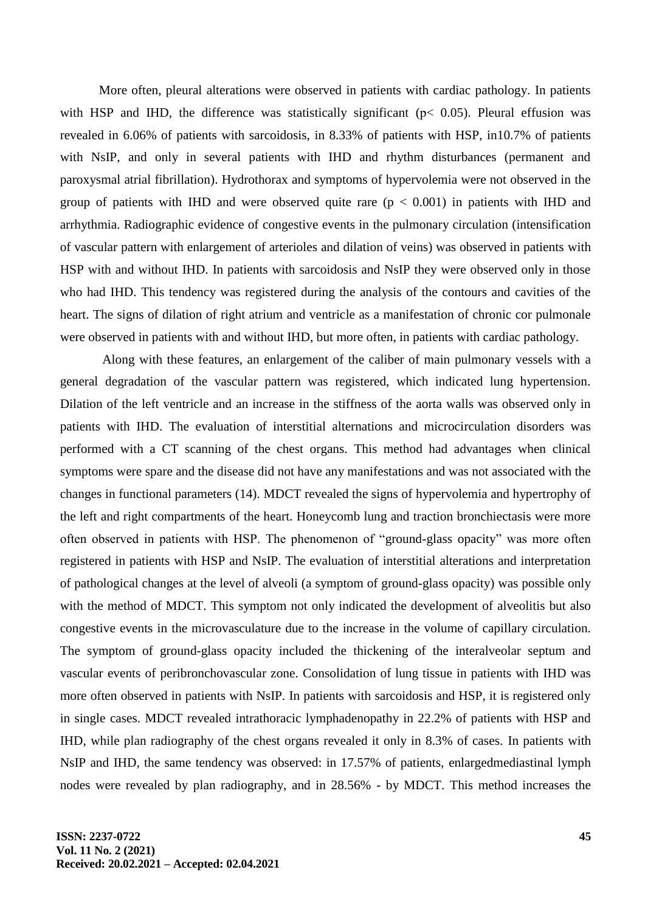More often, pleural alterations were observed in patients with cardiac pathology. In patients with HSP and IHD, the difference was statistically significant ( $p < 0.05$ ). Pleural effusion was revealed in 6.06% of patients with sarcoidosis, in 8.33% of patients with HSP, in10.7% of patients with NsIP, and only in several patients with IHD and rhythm disturbances (permanent and paroxysmal atrial fibrillation). Hydrothorax and symptoms of hypervolemia were not observed in the group of patients with IHD and were observed quite rare  $(p < 0.001)$  in patients with IHD and arrhythmia. Radiographic evidence of congestive events in the pulmonary circulation (intensification of vascular pattern with enlargement of arterioles and dilation of veins) was observed in patients with HSP with and without IHD. In patients with sarcoidosis and NsIP they were observed only in those who had IHD. This tendency was registered during the analysis of the contours and cavities of the heart. The signs of dilation of right atrium and ventricle as a manifestation of chronic cor pulmonale were observed in patients with and without IHD, but more often, in patients with cardiac pathology.

Along with these features, an enlargement of the caliber of main pulmonary vessels with a general degradation of the vascular pattern was registered, which indicated lung hypertension. Dilation of the left ventricle and an increase in the stiffness of the aorta walls was observed only in patients with IHD. The evaluation of interstitial alternations and microcirculation disorders was performed with a CT scanning of the chest organs. This method had advantages when clinical symptoms were spare and the disease did not have any manifestations and was not associated with the changes in functional parameters (14). MDCT revealed the signs of hypervolemia and hypertrophy of the left and right compartments of the heart. Honeycomb lung and traction bronchiectasis were more often observed in patients with HSP. The phenomenon of "ground-glass opacity" was more often registered in patients with HSP and NsIP. The evaluation of interstitial alterations and interpretation of pathological changes at the level of alveoli (a symptom of ground-glass opacity) was possible only with the method of MDCT. This symptom not only indicated the development of alveolitis but also congestive events in the microvasculature due to the increase in the volume of capillary circulation. The symptom of ground-glass opacity included the thickening of the interalveolar septum and vascular events of peribronchovascular zone. Consolidation of lung tissue in patients with IHD was more often observed in patients with NsIP. In patients with sarcoidosis and HSP, it is registered only in single cases. MDCT revealed intrathoracic lymphadenopathy in 22.2% of patients with HSP and IHD, while plan radiography of the chest organs revealed it only in 8.3% of cases. In patients with NsIP and IHD, the same tendency was observed: in 17.57% of patients, enlargedmediastinal lymph nodes were revealed by plan radiography, and in 28.56% - by MDCT. This method increases the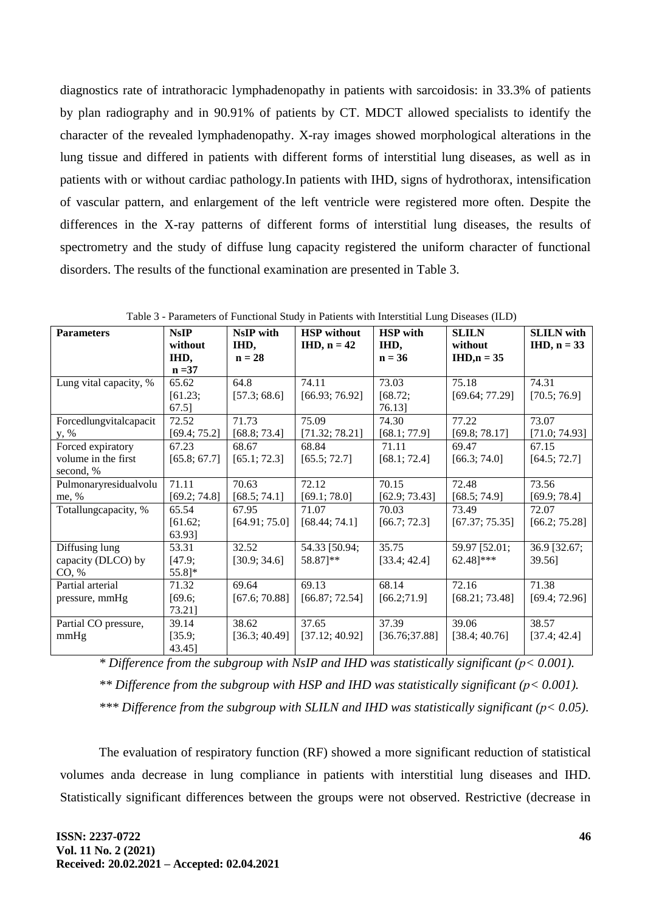diagnostics rate of intrathoracic lymphadenopathy in patients with sarcoidosis: in 33.3% of patients by plan radiography and in 90.91% of patients by CT. MDCT allowed specialists to identify the character of the revealed lymphadenopathy. X-ray images showed morphological alterations in the lung tissue and differed in patients with different forms of interstitial lung diseases, as well as in patients with or without cardiac pathology.In patients with IHD, signs of hydrothorax, intensification of vascular pattern, and enlargement of the left ventricle were registered more often. Despite the differences in the X-ray patterns of different forms of interstitial lung diseases, the results of spectrometry and the study of diffuse lung capacity registered the uniform character of functional disorders. The results of the functional examination are presented in Table 3.

| <b>Parameters</b>      | NsIP         | <b>NsIP</b> with | <b>HSP</b> without | <b>HSP</b> with | <b>SLILN</b>           | <b>SLILN</b> with |
|------------------------|--------------|------------------|--------------------|-----------------|------------------------|-------------------|
|                        | without      | IHD,             | $IHD, n = 42$      | IHD,            | without                | $IHD, n = 33$     |
|                        | IHD,         | $n = 28$         |                    | $n = 36$        | $IHD, n = 35$          |                   |
|                        | $n = 37$     |                  |                    |                 |                        |                   |
| Lung vital capacity, % | 65.62        | 64.8             | 74.11              | 73.03           | 75.18                  | 74.31             |
|                        | [61.23;      | [57.3; 68.6]     | [66.93; 76.92]     | [68.72;         | [69.64; 77.29]         | [70.5; 76.9]      |
|                        | $67.5$ ]     |                  |                    | 76.13]          |                        |                   |
| Forcedlungvitalcapacit | 72.52        | 71.73            | 75.09              | 74.30           | 77.22                  | 73.07             |
| y, %                   | [69.4; 75.2] | [68.8; 73.4]     | [71.32; 78.21]     | [68.1; 77.9]    | [69.8; 78.17]          | [71.0; 74.93]     |
| Forced expiratory      | 67.23        | 68.67            | 68.84              | 71.11           | 69.47                  | 67.15             |
| volume in the first    | [65.8; 67.7] | [65.1; 72.3]     | [65.5; 72.7]       | [68.1; 72.4]    | [66.3; 74.0]           | [64.5; 72.7]      |
| second, %              |              |                  |                    |                 |                        |                   |
| Pulmonaryresidualvolu  | 71.11        | 70.63            | 72.12              | 70.15           | 72.48                  | 73.56             |
| me, %                  | [69.2; 74.8] | [68.5; 74.1]     | [69.1; 78.0]       | [62.9; 73.43]   | [68.5; 74.9]           | [69.9; 78.4]      |
| Totallungcapacity, %   | 65.54        | 67.95            | 71.07              | 70.03           | 73.49                  | 72.07             |
|                        | [61.62;      | [64.91; 75.0]    | [68.44; 74.1]      | [66.7; 72.3]    | [67.37; 75.35]         | [66.2; 75.28]     |
|                        | 63.93]       |                  |                    |                 |                        |                   |
| Diffusing lung         | 53.31        | 32.52            | 54.33 [50.94;      | 35.75           | 59.97 [52.01;          | 36.9 [32.67;      |
| capacity (DLCO) by     | [47.9;       | [30.9; 34.6]     | 58.87]**           | [33.4; 42.4]    | $62.48$ <sup>***</sup> | 39.56]            |
| CO, %                  | 55.8]*       |                  |                    |                 |                        |                   |
| Partial arterial       | 71.32        | 69.64            | 69.13              | 68.14           | 72.16                  | 71.38             |
| pressure, mmHg         | [69.6;       | [67.6; 70.88]    | [66.87; 72.54]     | [66.2;71.9]     | [68.21; 73.48]         | [69.4; 72.96]     |
|                        | 73.21]       |                  |                    |                 |                        |                   |
| Partial CO pressure,   | 39.14        | 38.62            | 37.65              | 37.39           | 39.06                  | 38.57             |
| mmHg                   | [35.9;       | [36.3; 40.49]    | [37.12; 40.92]     | [36.76;37.88]   | [38.4; 40.76]          | [37.4; 42.4]      |
|                        | 43.45]       |                  |                    |                 |                        |                   |

Table 3 - Parameters of Functional Study in Patients with Interstitial Lung Diseases (ILD)

*\* Difference from the subgroup with NsIP and IHD was statistically significant (р< 0.001). \*\* Difference from the subgroup with HSP and IHD was statistically significant (р< 0.001).*

*\*\*\* Difference from the subgroup with SLILN and IHD was statistically significant (р< 0.05).*

The evaluation of respiratory function (RF) showed a more significant reduction of statistical volumes anda decrease in lung compliance in patients with interstitial lung diseases and IHD. Statistically significant differences between the groups were not observed. Restrictive (decrease in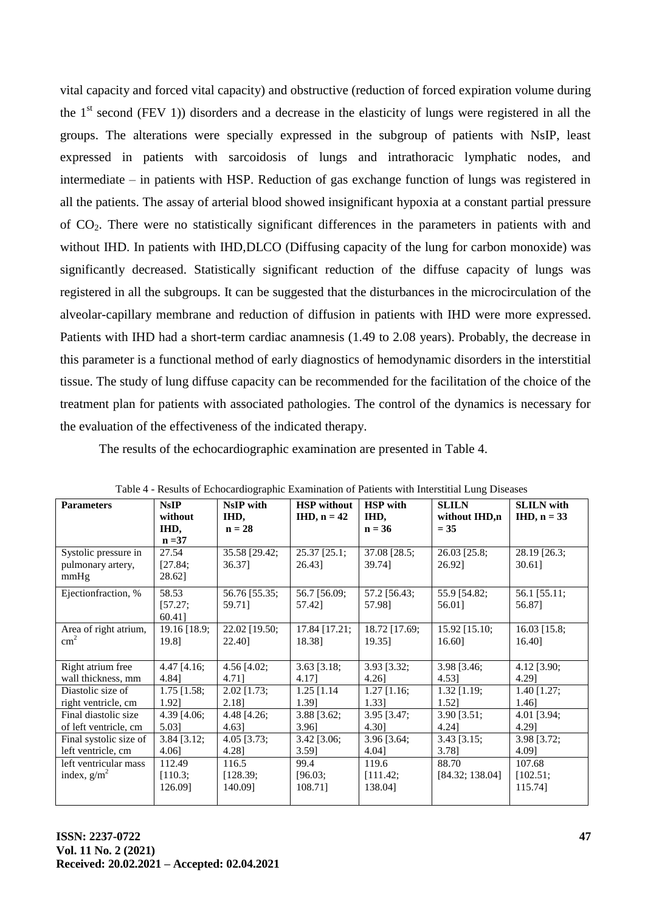vital capacity and forced vital capacity) and obstructive (reduction of forced expiration volume during the  $1<sup>st</sup>$  second (FEV 1)) disorders and a decrease in the elasticity of lungs were registered in all the groups. The alterations were specially expressed in the subgroup of patients with NsIP, least expressed in patients with sarcoidosis of lungs and intrathoracic lymphatic nodes, and intermediate – in patients with HSP. Reduction of gas exchange function of lungs was registered in all the patients. The assay of arterial blood showed insignificant hypoxia at a constant partial pressure of CO2. There were no statistically significant differences in the parameters in patients with and without IHD. In patients with IHD,DLCO (Diffusing capacity of the lung for carbon monoxide) was significantly decreased. Statistically significant reduction of the diffuse capacity of lungs was registered in all the subgroups. It can be suggested that the disturbances in the microcirculation of the alveolar-capillary membrane and reduction of diffusion in patients with IHD were more expressed. Patients with IHD had a short-term cardiac anamnesis (1.49 to 2.08 years). Probably, the decrease in this parameter is a functional method of early diagnostics of hemodynamic disorders in the interstitial tissue. The study of lung diffuse capacity can be recommended for the facilitation of the choice of the treatment plan for patients with associated pathologies. The control of the dynamics is necessary for the evaluation of the effectiveness of the indicated therapy.

The results of the echocardiographic examination are presented in Table 4.

| <b>Parameters</b>      | <b>NsIP</b>       | <b>NsIP</b> with | <b>HSP</b> without | <b>HSP</b> with | <b>SLILN</b>      | <b>SLILN</b> with |
|------------------------|-------------------|------------------|--------------------|-----------------|-------------------|-------------------|
|                        | without           | IHD,             | $IHD, n = 42$      | IHD,            | without IHD,n     | $IHD, n = 33$     |
|                        | IHD,              | $n = 28$         |                    | $n = 36$        | $= 35$            |                   |
|                        | $n = 37$          |                  |                    |                 |                   |                   |
| Systolic pressure in   | 27.54             | 35.58 [29.42;    | $25.37$ [ $25.1$ ; | 37.08 [28.5;    | 26.03 [25.8;      | 28.19 [26.3;      |
| pulmonary artery,      | [27.84;           | 36.37]           | 26.43]             | 39.74]          | 26.92]            | 30.61]            |
| mmHg                   | 28.62]            |                  |                    |                 |                   |                   |
| Ejectionfraction, %    | 58.53             | 56.76 [55.35;    | 56.7 [56.09;       | 57.2 [56.43;    | 55.9 [54.82;      | 56.1 [55.11;      |
|                        | [57.27;           | 59.71]           | 57.42]             | 57.98]          | 56.01]            | 56.87]            |
|                        | 60.41]            |                  |                    |                 |                   |                   |
| Area of right atrium,  | $19.16$ [18.9;    | 22.02 [19.50;    | 17.84 [17.21;      | 18.72 [17.69;   | 15.92 [15.10;     | $16.03$ [15.8;    |
| $\text{cm}^2$          | 19.81             | 22.40]           | 18.38]             | 19.351          | 16.60]            | 16.40]            |
|                        |                   |                  |                    |                 |                   |                   |
| Right atrium free      | $4.47$ [4.16;     | 4.56 $[4.02;$    | $3.63$ [ $3.18$ ;  | 3.93 [3.32;     | 3.98 [3.46;       | 4.12 [3.90;       |
| wall thickness, mm     | 4.84]             | $4.71$ ]         | 4.17]              | $4.26$ ]        | 4.53]             | 4.291             |
| Diastolic size of      | $1.75$ [1.58;     | $2.02$ [1.73;    | $1.25$ [1.14]      | $1.27$ [1.16;   | $1.32$ [1.19;     | $1.40$ [1.27;     |
| right ventricle, cm    | 1.92]             | 2.18]            | 1.39]              | 1.33]           | $1.52$ ]          | 1.46]             |
| Final diastolic size   | 4.39 [4.06;       | 4.48 [4.26;      | 3.88 [3.62;        | 3.95 [3.47;     | 3.90 [3.51;       | 4.01 [3.94;       |
| of left ventricle, cm  | 5.03]             | $4.63$ ]         | $3.96$ ]           | 4.30]           | 4.24]             | 4.29]             |
| Final systolic size of | $3.84$ [ $3.12$ ; | $4.05$ [3.73;    | 3.42 [3.06;        | 3.96 [3.64;     | $3.43$ [ $3.15$ ; | 3.98 [3.72;       |
| left ventricle, cm     | 4.06]             | 4.28]            | 3.59]              | 4.04]           | 3.78]             | 4.091             |
| left ventricular mass  | 112.49            | 116.5            | 99.4               | 119.6           | 88.70             | 107.68            |
| index, $g/m^2$         | [110.3;           | [128.39;         | [96.03;            | [111.42;        | [84.32; 138.04]   | [102.51;          |
|                        | 126.09]           | 140.09]          | 108.71]            | 138.04]         |                   | 115.74]           |
|                        |                   |                  |                    |                 |                   |                   |

Table 4 - Results of Echocardiographic Examination of Patients with Interstitial Lung Diseases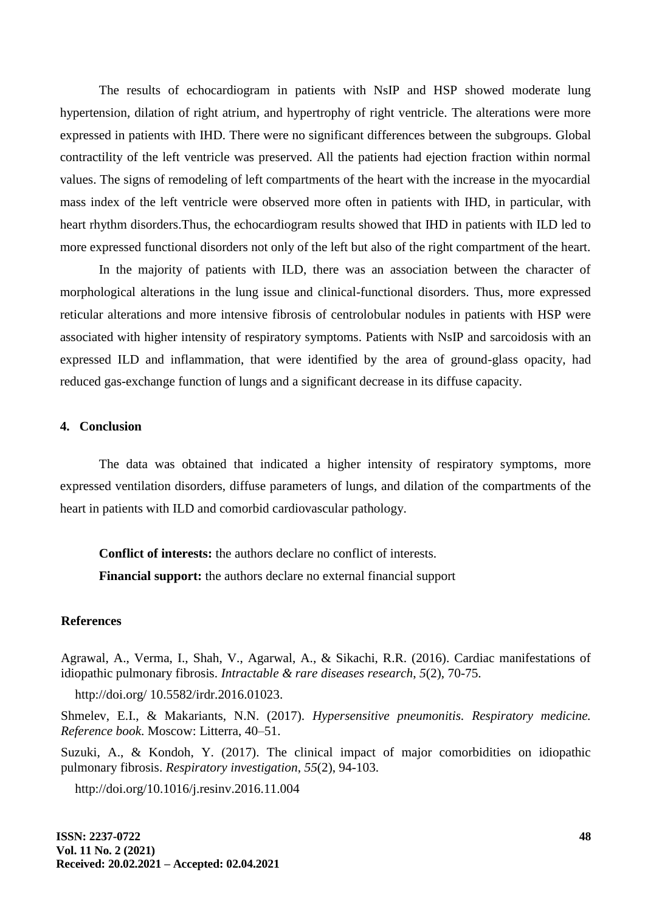The results of echocardiogram in patients with NsIP and HSP showed moderate lung hypertension, dilation of right atrium, and hypertrophy of right ventricle. The alterations were more expressed in patients with IHD. There were no significant differences between the subgroups. Global contractility of the left ventricle was preserved. All the patients had ejection fraction within normal values. The signs of remodeling of left compartments of the heart with the increase in the myocardial mass index of the left ventricle were observed more often in patients with IHD, in particular, with heart rhythm disorders.Thus, the echocardiogram results showed that IHD in patients with ILD led to more expressed functional disorders not only of the left but also of the right compartment of the heart.

In the majority of patients with ILD, there was an association between the character of morphological alterations in the lung issue and clinical-functional disorders. Thus, more expressed reticular alterations and more intensive fibrosis of centrolobular nodules in patients with HSP were associated with higher intensity of respiratory symptoms. Patients with NsIP and sarcoidosis with an expressed ILD and inflammation, that were identified by the area of ground-glass opacity, had reduced gas-exchange function of lungs and a significant decrease in its diffuse capacity.

# **4. Conclusion**

The data was obtained that indicated a higher intensity of respiratory symptoms, more expressed ventilation disorders, diffuse parameters of lungs, and dilation of the compartments of the heart in patients with ILD and comorbid cardiovascular pathology.

**Conflict of interests:** the authors declare no conflict of interests. **Financial support:** the authors declare no external financial support

#### **References**

Agrawal, A., Verma, I., Shah, V., Agarwal, A., & Sikachi, R.R. (2016). Cardiac manifestations of idiopathic pulmonary fibrosis. *Intractable & rare diseases research*, *5*(2), 70-75.

http://doi.org/ 10.5582/irdr.2016.01023.

Shmelev, E.I., & Makariants, N.N. (2017). *Hypersensitive pneumonitis. Respiratory medicine. Reference book*. Moscow: Litterra, 40–51.

Suzuki, A., & Kondoh, Y. (2017). The clinical impact of major comorbidities on idiopathic pulmonary fibrosis. *Respiratory investigation*, *55*(2), 94-103.

http://doi.org/10.1016/j.resinv.2016.11.004